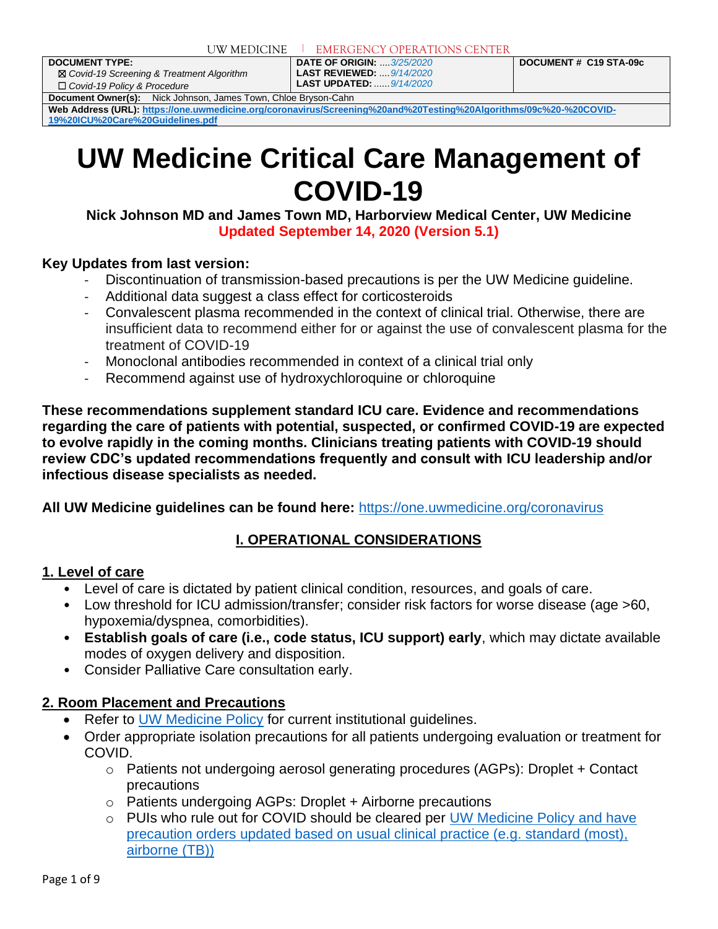**DOCUMENT TYPE:** ☒ *Covid-19 Screening & Treatment Algorithm* ☐ *Covid-19 Policy & Procedure*

**DATE OF ORIGIN:** ....*3/25/2020* **LAST REVIEWED:** *....9/14/2020* **LAST UPDATED:** *......9/14/2020* **DOCUMENT # C19 STA-09c**

**Document Owner(s):** Nick Johnson, James Town, Chloe Bryson-Cahn

Web Address (URL)[: https://one.uwmedicine.org/coronavirus/Screening%20and%20Testing%20Algorithms/09c%20-%20COVID-](https://one.uwmedicine.org/coronavirus/Screening%20and%20Testing%20Algorithms/09c%20-%20COVID-19%20ICU%20Care%20Guidelines.pdf)**[19%20ICU%20Care%20Guidelines.pdf](https://one.uwmedicine.org/coronavirus/Screening%20and%20Testing%20Algorithms/09c%20-%20COVID-19%20ICU%20Care%20Guidelines.pdf)**

# **UW Medicine Critical Care Management of COVID-19**

**Nick Johnson MD and James Town MD, Harborview Medical Center, UW Medicine Updated September 14, 2020 (Version 5.1)**

#### **Key Updates from last version:**

- Discontinuation of transmission-based precautions is per the UW Medicine guideline.
- Additional data suggest a class effect for corticosteroids
- Convalescent plasma recommended in the context of clinical trial. Otherwise, there are insufficient data to recommend either for or against the use of convalescent plasma for the treatment of COVID-19
- Monoclonal antibodies recommended in context of a clinical trial only
- Recommend against use of hydroxychloroquine or chloroquine

**These recommendations supplement standard ICU care. Evidence and recommendations regarding the care of patients with potential, suspected, or confirmed COVID-19 are expected to evolve rapidly in the coming months. Clinicians treating patients with COVID-19 should review CDC's updated recommendations frequently and consult with ICU leadership and/or infectious disease specialists as needed.** 

**All UW Medicine guidelines can be found here:** <https://one.uwmedicine.org/coronavirus>

# **I. OPERATIONAL CONSIDERATIONS**

#### **1. Level of care**

- Level of care is dictated by patient clinical condition, resources, and goals of care.
- Low threshold for ICU admission/transfer; consider risk factors for worse disease (age >60, hypoxemia/dyspnea, comorbidities).
- **Establish goals of care (i.e., code status, ICU support) early**, which may dictate available modes of oxygen delivery and disposition.
- Consider Palliative Care consultation early.

#### **2. Room Placement and Precautions**

- Refer to [UW Medicine Policy](https://one.uwmedicine.org/coronavirus) for current institutional quidelines.
- Order appropriate isolation precautions for all patients undergoing evaluation or treatment for COVID.
	- $\circ$  Patients not undergoing aerosol generating procedures (AGPs): Droplet + Contact precautions
	- o Patients undergoing AGPs: Droplet + Airborne precautions
	- o PUIs who rule out for COVID should be cleared per [UW Medicine Policy](https://one.uwmedicine.org/coronavirus) and have precaution orders updated based on usual clinical practice (e.g. standard (most), airborne (TB))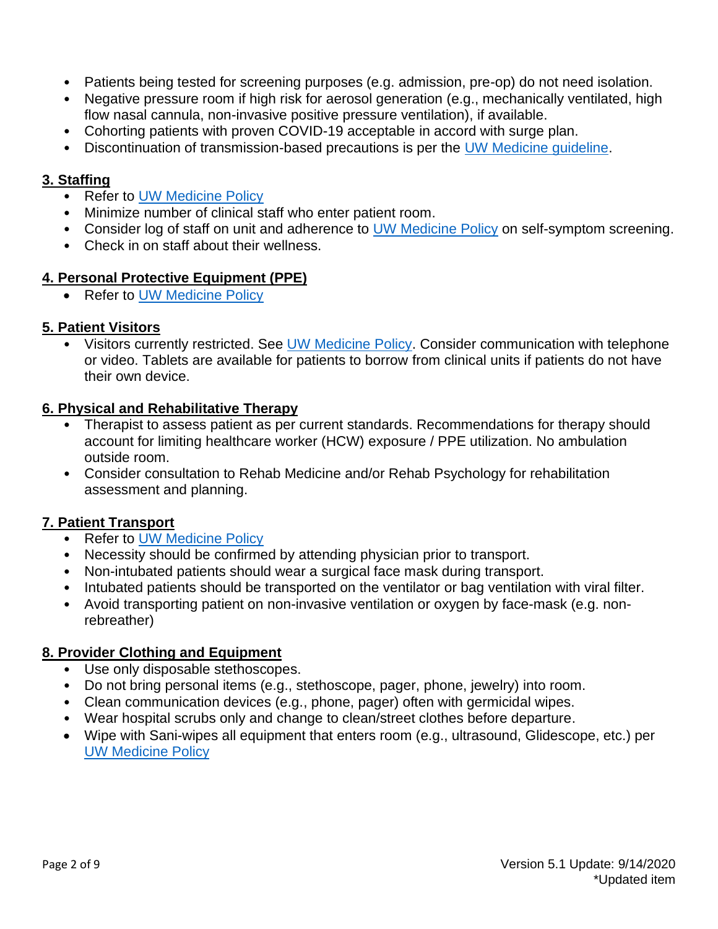- Patients being tested for screening purposes (e.g. admission, pre-op) do not need isolation.
- Negative pressure room if high risk for aerosol generation (e.g., mechanically ventilated, high flow nasal cannula, non-invasive positive pressure ventilation), if available.
- Cohorting patients with proven COVID-19 acceptable in accord with surge plan.
- Discontinuation of transmission-based precautions is per the [UW Medicine guideline.](https://one.uwmedicine.org/coronavirus/COVID19%20Policy%20Statement%20Library/Isolation%20precautions%20Discontinuation_COVID19.pdf)

#### **3. Staffing**

- Refer to [UW Medicine Policy](https://one.uwmedicine.org/coronavirus)
- Minimize number of clinical staff who enter patient room.
- Consider log of staff on unit and adherence to [UW Medicine Policy](https://one.uwmedicine.org/coronavirus) on self-symptom screening.
- Check in on staff about their wellness.

#### **4. Personal Protective Equipment (PPE)**

• Refer to [UW Medicine Policy](https://one.uwmedicine.org/coronavirus)

#### **5. Patient Visitors**

• Visitors currently restricted. See [UW Medicine Policy.](https://covid-19.uwmedicine.org/Pages/default.aspx) Consider communication with telephone or video. Tablets are available for patients to borrow from clinical units if patients do not have their own device.

#### **6. Physical and Rehabilitative Therapy**

- Therapist to assess patient as per current standards. Recommendations for therapy should account for limiting healthcare worker (HCW) exposure / PPE utilization. No ambulation outside room.
- Consider consultation to Rehab Medicine and/or Rehab Psychology for rehabilitation assessment and planning.

#### **7. Patient Transport**

- Refer to [UW Medicine Policy](https://one.uwmedicine.org/coronavirus)
- Necessity should be confirmed by attending physician prior to transport.
- Non-intubated patients should wear a surgical face mask during transport.
- Intubated patients should be transported on the ventilator or bag ventilation with viral filter.
- Avoid transporting patient on non-invasive ventilation or oxygen by face-mask (e.g. nonrebreather)

#### **8. Provider Clothing and Equipment**

- Use only disposable stethoscopes.
- Do not bring personal items (e.g., stethoscope, pager, phone, jewelry) into room.
- Clean communication devices (e.g., phone, pager) often with germicidal wipes.
- Wear hospital scrubs only and change to clean/street clothes before departure.
- Wipe with Sani-wipes all equipment that enters room (e.g., ultrasound, Glidescope, etc.) per [UW Medicine Policy](https://one.uwmedicine.org/coronavirus)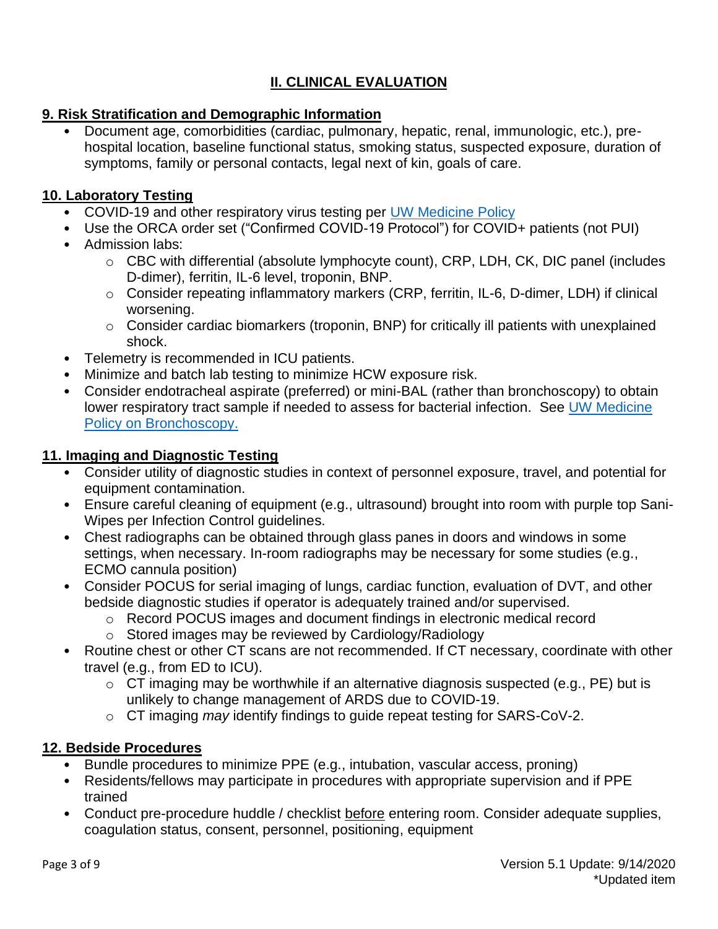# **II. CLINICAL EVALUATION**

## **9. Risk Stratification and Demographic Information**

• Document age, comorbidities (cardiac, pulmonary, hepatic, renal, immunologic, etc.), prehospital location, baseline functional status, smoking status, suspected exposure, duration of symptoms, family or personal contacts, legal next of kin, goals of care.

#### **10. Laboratory Testing**

- COVID-19 and other respiratory virus testing per [UW Medicine Policy](https://one.uwmedicine.org/coronavirus)
- Use the ORCA order set ("Confirmed COVID-19 Protocol") for COVID+ patients (not PUI)
- Admission labs:
	- o CBC with differential (absolute lymphocyte count), CRP, LDH, CK, DIC panel (includes D-dimer), ferritin, IL-6 level, troponin, BNP.
	- o Consider repeating inflammatory markers (CRP, ferritin, IL-6, D-dimer, LDH) if clinical worsening.
	- o Consider cardiac biomarkers (troponin, BNP) for critically ill patients with unexplained shock.
- Telemetry is recommended in ICU patients.
- Minimize and batch lab testing to minimize HCW exposure risk.
- Consider endotracheal aspirate (preferred) or mini-BAL (rather than bronchoscopy) to obtain lower respiratory tract sample if needed to assess for bacterial infection. See [UW Medicine](https://one.uwmedicine.org/coronavirus)  [Policy](https://one.uwmedicine.org/coronavirus) on Bronchoscopy.

#### **11. Imaging and Diagnostic Testing**

- Consider utility of diagnostic studies in context of personnel exposure, travel, and potential for equipment contamination.
- Ensure careful cleaning of equipment (e.g., ultrasound) brought into room with purple top Sani-Wipes per Infection Control guidelines.
- Chest radiographs can be obtained through glass panes in doors and windows in some settings, when necessary. In-room radiographs may be necessary for some studies (e.g., ECMO cannula position)
- Consider POCUS for serial imaging of lungs, cardiac function, evaluation of DVT, and other bedside diagnostic studies if operator is adequately trained and/or supervised.
	- o Record POCUS images and document findings in electronic medical record
	- o Stored images may be reviewed by Cardiology/Radiology
- Routine chest or other CT scans are not recommended. If CT necessary, coordinate with other travel (e.g., from ED to ICU).
	- $\circ$  CT imaging may be worthwhile if an alternative diagnosis suspected (e.g., PE) but is unlikely to change management of ARDS due to COVID-19.
	- o CT imaging *may* identify findings to guide repeat testing for SARS-CoV-2.

# **12. Bedside Procedures**

- Bundle procedures to minimize PPE (e.g., intubation, vascular access, proning)
- Residents/fellows may participate in procedures with appropriate supervision and if PPE trained
- Conduct pre-procedure huddle / checklist before entering room. Consider adequate supplies, coagulation status, consent, personnel, positioning, equipment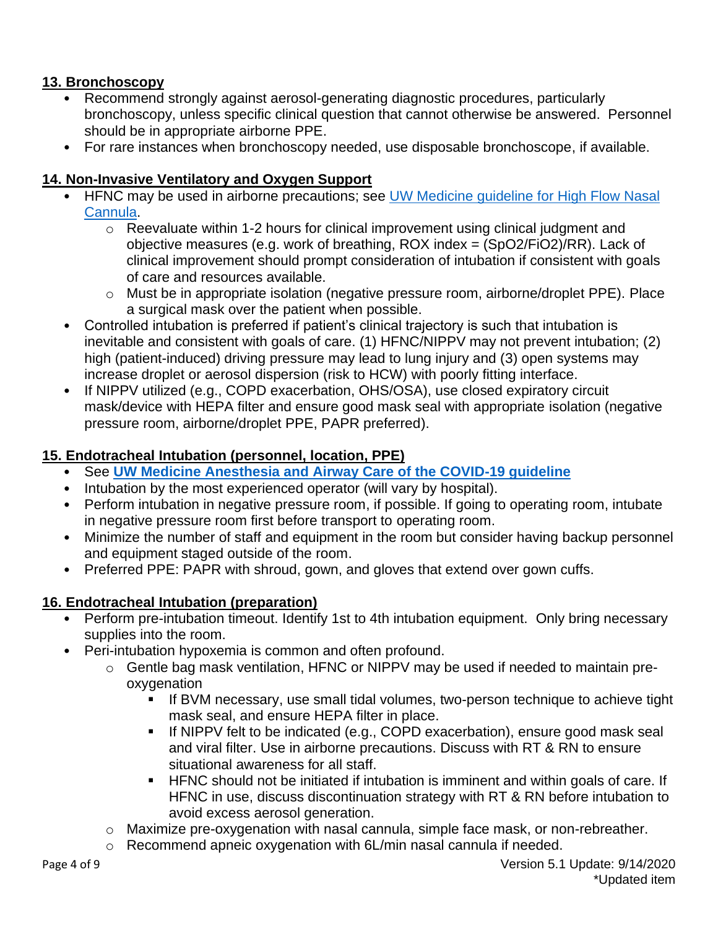# **13. Bronchoscopy**

- Recommend strongly against aerosol-generating diagnostic procedures, particularly bronchoscopy, unless specific clinical question that cannot otherwise be answered. Personnel should be in appropriate airborne PPE.
- For rare instances when bronchoscopy needed, use disposable bronchoscope, if available.

#### **14. Non-Invasive Ventilatory and Oxygen Support**

- HFNC may be used in airborne precautions; see [UW Medicine guideline for High Flow Nasal](https://one.uwmedicine.org/coronavirus)  [Cannula.](https://one.uwmedicine.org/coronavirus)
	- o Reevaluate within 1-2 hours for clinical improvement using clinical judgment and objective measures (e.g. work of breathing, ROX index = (SpO2/FiO2)/RR). Lack of clinical improvement should prompt consideration of intubation if consistent with goals of care and resources available.
	- o Must be in appropriate isolation (negative pressure room, airborne/droplet PPE). Place a surgical mask over the patient when possible.
- Controlled intubation is preferred if patient's clinical trajectory is such that intubation is inevitable and consistent with goals of care. (1) HFNC/NIPPV may not prevent intubation; (2) high (patient-induced) driving pressure may lead to lung injury and (3) open systems may increase droplet or aerosol dispersion (risk to HCW) with poorly fitting interface.
- If NIPPV utilized (e.g., COPD exacerbation, OHS/OSA), use closed expiratory circuit mask/device with HEPA filter and ensure good mask seal with appropriate isolation (negative pressure room, airborne/droplet PPE, PAPR preferred).

#### **15. Endotracheal Intubation (personnel, location, PPE)**

- See **[UW Medicine Anesthesia and Airway Care of the COVID-19 guideline](https://one.uwmedicine.org/coronavirus)**
- Intubation by the most experienced operator (will vary by hospital).
- Perform intubation in negative pressure room, if possible. If going to operating room, intubate in negative pressure room first before transport to operating room.
- Minimize the number of staff and equipment in the room but consider having backup personnel and equipment staged outside of the room.
- Preferred PPE: PAPR with shroud, gown, and gloves that extend over gown cuffs.

# **16. Endotracheal Intubation (preparation)**

- Perform pre-intubation timeout. Identify 1st to 4th intubation equipment. Only bring necessary supplies into the room.
- Peri-intubation hypoxemia is common and often profound.
	- o Gentle bag mask ventilation, HFNC or NIPPV may be used if needed to maintain preoxygenation
		- **EXT** If BVM necessary, use small tidal volumes, two-person technique to achieve tight mask seal, and ensure HEPA filter in place.
		- **.** If NIPPV felt to be indicated (e.g., COPD exacerbation), ensure good mask seal and viral filter. Use in airborne precautions. Discuss with RT & RN to ensure situational awareness for all staff.
		- HFNC should not be initiated if intubation is imminent and within goals of care. If HFNC in use, discuss discontinuation strategy with RT & RN before intubation to avoid excess aerosol generation.
	- o Maximize pre-oxygenation with nasal cannula, simple face mask, or non-rebreather.
	- o Recommend apneic oxygenation with 6L/min nasal cannula if needed.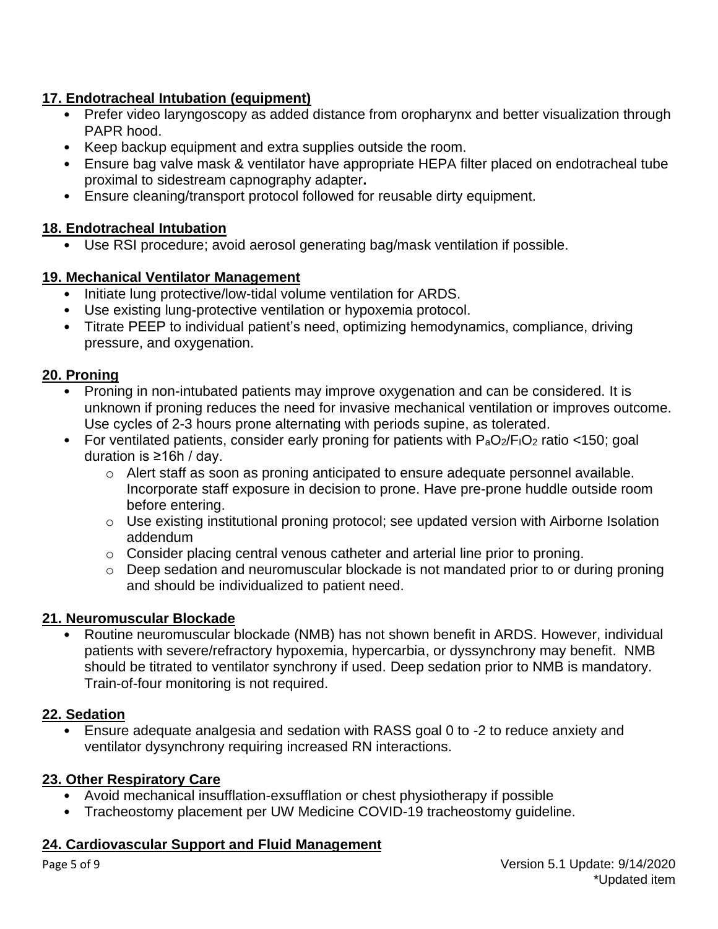#### **17. Endotracheal Intubation (equipment)**

- Prefer video laryngoscopy as added distance from oropharynx and better visualization through PAPR hood.
- Keep backup equipment and extra supplies outside the room.
- Ensure bag valve mask & ventilator have appropriate HEPA filter placed on endotracheal tube proximal to sidestream capnography adapter**.**
- Ensure cleaning/transport protocol followed for reusable dirty equipment.

## **18. Endotracheal Intubation**

• Use RSI procedure; avoid aerosol generating bag/mask ventilation if possible.

#### **19. Mechanical Ventilator Management**

- Initiate lung protective/low-tidal volume ventilation for ARDS.
- Use existing lung-protective ventilation or hypoxemia protocol.
- Titrate PEEP to individual patient's need, optimizing hemodynamics, compliance, driving pressure, and oxygenation.

#### **20. Proning**

- Proning in non-intubated patients may improve oxygenation and can be considered. It is unknown if proning reduces the need for invasive mechanical ventilation or improves outcome. Use cycles of 2-3 hours prone alternating with periods supine, as tolerated.
- For ventilated patients, consider early proning for patients with  $P_aO_2/F_1O_2$  ratio <150; goal duration is ≥16h / day.
	- o Alert staff as soon as proning anticipated to ensure adequate personnel available. Incorporate staff exposure in decision to prone. Have pre-prone huddle outside room before entering.
	- o Use existing institutional proning protocol; see updated version with Airborne Isolation addendum
	- o Consider placing central venous catheter and arterial line prior to proning.
	- o Deep sedation and neuromuscular blockade is not mandated prior to or during proning and should be individualized to patient need.

# **21. Neuromuscular Blockade**

• Routine neuromuscular blockade (NMB) has not shown benefit in ARDS. However, individual patients with severe/refractory hypoxemia, hypercarbia, or dyssynchrony may benefit. NMB should be titrated to ventilator synchrony if used. Deep sedation prior to NMB is mandatory. Train-of-four monitoring is not required.

# **22. Sedation**

• Ensure adequate analgesia and sedation with RASS goal 0 to -2 to reduce anxiety and ventilator dysynchrony requiring increased RN interactions.

# **23. Other Respiratory Care**

- Avoid mechanical insufflation-exsufflation or chest physiotherapy if possible
- Tracheostomy placement per UW Medicine COVID-19 tracheostomy guideline.

#### **24. Cardiovascular Support and Fluid Management**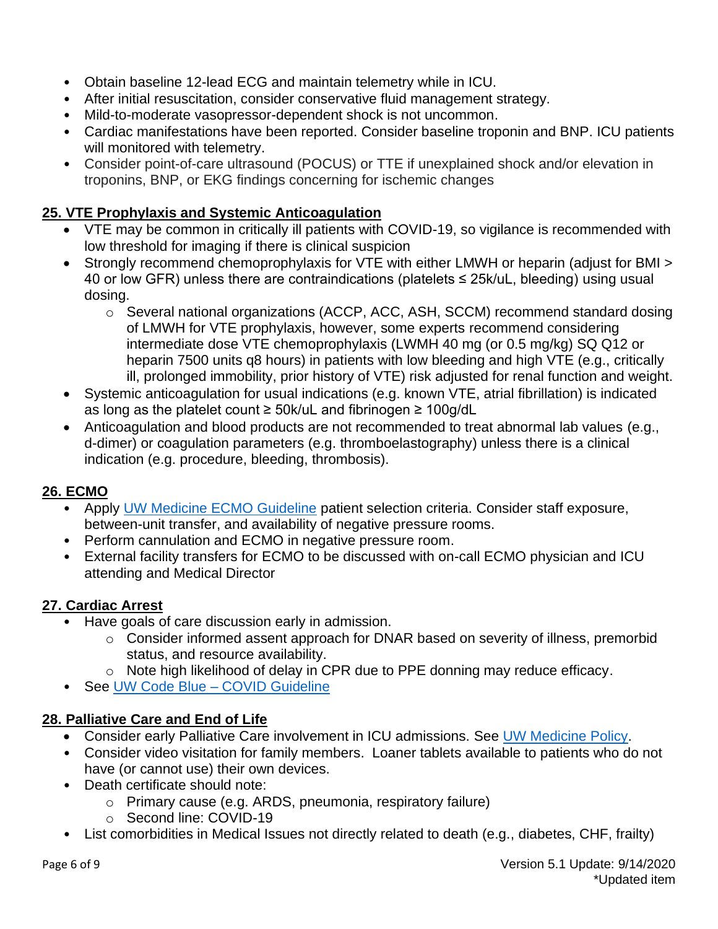- Obtain baseline 12-lead ECG and maintain telemetry while in ICU.
- After initial resuscitation, consider conservative fluid management strategy.
- Mild-to-moderate vasopressor-dependent shock is not uncommon.
- Cardiac manifestations have been reported. Consider baseline troponin and BNP. ICU patients will monitored with telemetry.
- Consider point-of-care ultrasound (POCUS) or TTE if unexplained shock and/or elevation in troponins, BNP, or EKG findings concerning for ischemic changes

# **25. VTE Prophylaxis and Systemic Anticoagulation**

- VTE may be common in critically ill patients with COVID-19, so vigilance is recommended with low threshold for imaging if there is clinical suspicion
- Strongly recommend chemoprophylaxis for VTE with either LMWH or heparin (adjust for BMI > 40 or low GFR) unless there are contraindications (platelets ≤ 25k/uL, bleeding) using usual dosing.
	- o Several national organizations (ACCP, ACC, ASH, SCCM) recommend standard dosing of LMWH for VTE prophylaxis, however, some experts recommend considering intermediate dose VTE chemoprophylaxis (LWMH 40 mg (or 0.5 mg/kg) SQ Q12 or heparin 7500 units q8 hours) in patients with low bleeding and high VTE (e.g., critically ill, prolonged immobility, prior history of VTE) risk adjusted for renal function and weight.
- Systemic anticoagulation for usual indications (e.g. known VTE, atrial fibrillation) is indicated as long as the platelet count ≥ 50k/uL and fibrinogen ≥ 100g/dL
- Anticoagulation and blood products are not recommended to treat abnormal lab values (e.g., d-dimer) or coagulation parameters (e.g. thromboelastography) unless there is a clinical indication (e.g. procedure, bleeding, thrombosis).

# **26. ECMO**

- Apply [UW Medicine ECMO Guideline](https://one.uwmedicine.org/coronavirus) patient selection criteria. Consider staff exposure, between-unit transfer, and availability of negative pressure rooms.
- Perform cannulation and ECMO in negative pressure room.
- External facility transfers for ECMO to be discussed with on-call ECMO physician and ICU attending and Medical Director

# **27. Cardiac Arrest**

- Have goals of care discussion early in admission.
	- o Consider informed assent approach for DNAR based on severity of illness, premorbid status, and resource availability.
	- o Note high likelihood of delay in CPR due to PPE donning may reduce efficacy.
- See [UW Code Blue –](https://one.uwmedicine.org/coronavirus) COVID Guideline

# **28. Palliative Care and End of Life**

- Consider early Palliative Care involvement in ICU admissions. See [UW Medicine Policy.](https://one.uwmedicine.org/coronavirus)
- Consider video visitation for family members. Loaner tablets available to patients who do not have (or cannot use) their own devices.
- Death certificate should note:
	- o Primary cause (e.g. ARDS, pneumonia, respiratory failure)
	- o Second line: COVID-19
- List comorbidities in Medical Issues not directly related to death (e.g., diabetes, CHF, frailty)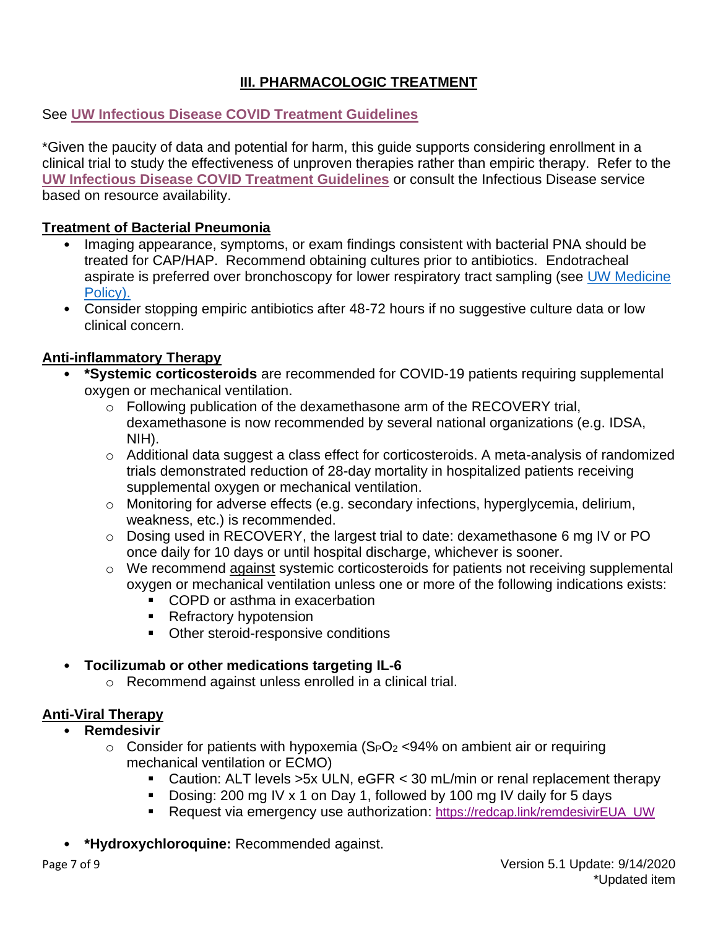# **III. PHARMACOLOGIC TREATMENT**

# See **[UW Infectious Disease COVID Treatment Guidelines](https://one.uwmedicine.org/coronavirus)**

\*Given the paucity of data and potential for harm, this guide supports considering enrollment in a clinical trial to study the effectiveness of unproven therapies rather than empiric therapy. Refer to the **[UW Infectious Disease COVID Treatment Guidelines](https://one.uwmedicine.org/coronavirus)** or consult the Infectious Disease service based on resource availability.

#### **Treatment of Bacterial Pneumonia**

- Imaging appearance, symptoms, or exam findings consistent with bacterial PNA should be treated for CAP/HAP. Recommend obtaining cultures prior to antibiotics. Endotracheal aspirate is preferred over bronchoscopy for lower respiratory tract sampling (see [UW Medicine](https://one.uwmedicine.org/coronavirus)  [Policy\)](https://one.uwmedicine.org/coronavirus).
- Consider stopping empiric antibiotics after 48-72 hours if no suggestive culture data or low clinical concern.

# **Anti-inflammatory Therapy**

- **\*Systemic corticosteroids** are recommended for COVID-19 patients requiring supplemental oxygen or mechanical ventilation.
	- o Following publication of the dexamethasone arm of the RECOVERY trial, dexamethasone is now recommended by several national organizations (e.g. IDSA, NIH).
	- o Additional data suggest a class effect for corticosteroids. A meta-analysis of randomized trials demonstrated reduction of 28-day mortality in hospitalized patients receiving supplemental oxygen or mechanical ventilation.
	- o Monitoring for adverse effects (e.g. secondary infections, hyperglycemia, delirium, weakness, etc.) is recommended.
	- o Dosing used in RECOVERY, the largest trial to date: dexamethasone 6 mg IV or PO once daily for 10 days or until hospital discharge, whichever is sooner.
	- $\circ$  We recommend against systemic corticosteroids for patients not receiving supplemental oxygen or mechanical ventilation unless one or more of the following indications exists:
		- COPD or asthma in exacerbation
		- Refractory hypotension
		- Other steroid-responsive conditions

# • **Tocilizumab or other medications targeting IL-6**

o Recommend against unless enrolled in a clinical trial.

# **Anti-Viral Therapy**

- **Remdesivir**
	- $\circ$  Consider for patients with hypoxemia (S<sub>P</sub>O<sub>2</sub> <94% on ambient air or requiring mechanical ventilation or ECMO)
		- Caution: ALT levels  $>5x$  ULN, eGFR  $<$  30 mL/min or renal replacement therapy
		- Dosing: 200 mg IV x 1 on Day 1, followed by 100 mg IV daily for 5 days
		- Request via emergency use authorization: [https://redcap.link/remdesivirEUA\\_UW](https://redcap.link/remdesivirEUA_UW)
- **\*Hydroxychloroquine:** Recommended against.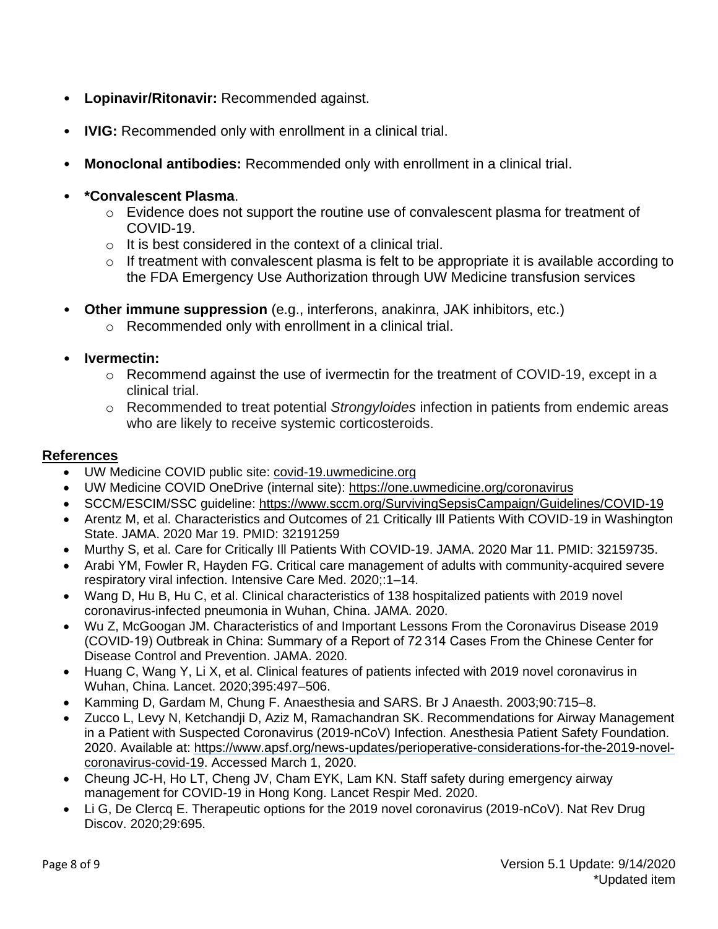- **Lopinavir/Ritonavir:** Recommended against.
- **IVIG:** Recommended only with enrollment in a clinical trial.
- **Monoclonal antibodies:** Recommended only with enrollment in a clinical trial.

#### • **\*Convalescent Plasma**.

- o Evidence does not support the routine use of convalescent plasma for treatment of COVID-19.
- o It is best considered in the context of a clinical trial.
- o If treatment with convalescent plasma is felt to be appropriate it is available according to the FDA Emergency Use Authorization through UW Medicine transfusion services
- **Other immune suppression** (e.g., interferons, anakinra, JAK inhibitors, etc.)
	- o Recommended only with enrollment in a clinical trial.

#### • **Ivermectin:**

- $\circ$  Recommend against the use of ivermectin for the treatment of COVID-19, except in a clinical trial.
- o Recommended to treat potential *Strongyloides* infection in patients from endemic areas who are likely to receive systemic corticosteroids.

#### **References**

- UW Medicine COVID public site: [covid-19.uwmedicine.org](http://covid-19.uwmedicine.org/)
- UW Medicine COVID OneDrive (internal site):<https://one.uwmedicine.org/coronavirus>
- SCCM/ESCIM/SSC guideline:<https://www.sccm.org/SurvivingSepsisCampaign/Guidelines/COVID-19>
- Arentz M, et al. Characteristics and Outcomes of 21 Critically Ill Patients With COVID-19 in Washington State. JAMA. 2020 Mar 19. PMID: 32191259
- Murthy S, et al. Care for Critically Ill Patients With COVID-19. JAMA. 2020 Mar 11. PMID: 32159735.
- Arabi YM, Fowler R, Hayden FG. Critical care management of adults with community-acquired severe respiratory viral infection. Intensive Care Med. 2020;:1–14.
- Wang D, Hu B, Hu C, et al. Clinical characteristics of 138 hospitalized patients with 2019 novel coronavirus-infected pneumonia in Wuhan, China. JAMA. 2020.
- Wu Z, McGoogan JM. Characteristics of and Important Lessons From the Coronavirus Disease 2019 (COVID-19) Outbreak in China: Summary of a Report of 72 314 Cases From the Chinese Center for Disease Control and Prevention. JAMA. 2020.
- Huang C, Wang Y, Li X, et al. Clinical features of patients infected with 2019 novel coronavirus in Wuhan, China. Lancet. 2020;395:497–506.
- Kamming D, Gardam M, Chung F. Anaesthesia and SARS. Br J Anaesth. 2003;90:715–8.
- Zucco L, Levy N, Ketchandji D, Aziz M, Ramachandran SK. Recommendations for Airway Management in a Patient with Suspected Coronavirus (2019-nCoV) Infection. Anesthesia Patient Safety Foundation. 2020. Available at: [https://www.apsf.org/news-updates/perioperative-considerations-for-the-2019-novel](https://www.apsf.org/news-updates/perioperative-considerations-for-the-2019-novel-coronavirus-covid-19)[coronavirus-covid-19.](https://www.apsf.org/news-updates/perioperative-considerations-for-the-2019-novel-coronavirus-covid-19) Accessed March 1, 2020.
- Cheung JC-H, Ho LT, Cheng JV, Cham EYK, Lam KN. Staff safety during emergency airway management for COVID-19 in Hong Kong. Lancet Respir Med. 2020.
- Li G, De Clercq E. Therapeutic options for the 2019 novel coronavirus (2019-nCoV). Nat Rev Drug Discov. 2020;29:695.